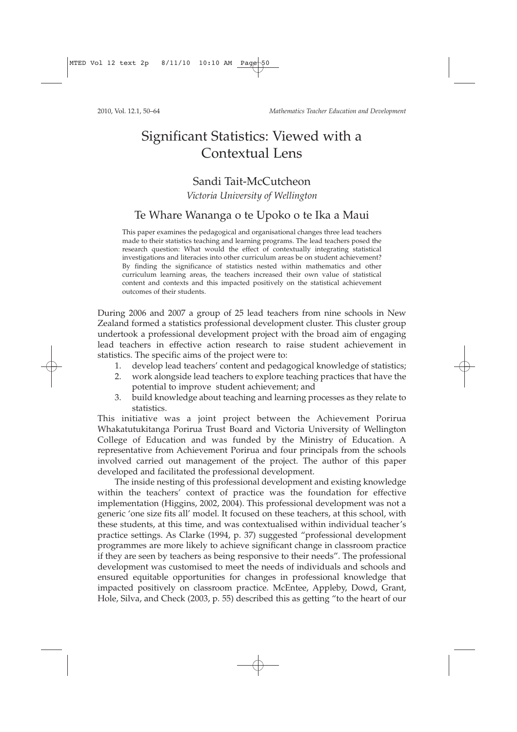2010, Vol. 12.1, 50–64 *Mathematics Teacher Education and Development*

# Significant Statistics: Viewed with a Contextual Lens

# Sandi Tait-McCutcheon

### *Victoria University of Wellington*

### Te Whare Wananga o te Upoko o te Ika a Maui

This paper examines the pedagogical and organisational changes three lead teachers made to their statistics teaching and learning programs. The lead teachers posed the research question: What would the effect of contextually integrating statistical investigations and literacies into other curriculum areas be on student achievement? By finding the significance of statistics nested within mathematics and other curriculum learning areas, the teachers increased their own value of statistical content and contexts and this impacted positively on the statistical achievement outcomes of their students.

During 2006 and 2007 a group of 25 lead teachers from nine schools in New Zealand formed a statistics professional development cluster. This cluster group undertook a professional development project with the broad aim of engaging lead teachers in effective action research to raise student achievement in statistics. The specific aims of the project were to:

- 1. develop lead teachers' content and pedagogical knowledge of statistics;
- 2. work alongside lead teachers to explore teaching practices that have the potential to improve student achievement; and
- 3. build knowledge about teaching and learning processes as they relate to statistics.

This initiative was a joint project between the Achievement Porirua Whakatutukitanga Porirua Trust Board and Victoria University of Wellington College of Education and was funded by the Ministry of Education. A representative from Achievement Porirua and four principals from the schools involved carried out management of the project. The author of this paper developed and facilitated the professional development.

The inside nesting of this professional development and existing knowledge within the teachers' context of practice was the foundation for effective implementation (Higgins, 2002, 2004). This professional development was not a generic 'one size fits all' model. It focused on these teachers, at this school, with these students, at this time, and was contextualised within individual teacher's practice settings. As Clarke (1994, p. 37) suggested "professional development programmes are more likely to achieve significant change in classroom practice if they are seen by teachers as being responsive to their needs". The professional development was customised to meet the needs of individuals and schools and ensured equitable opportunities for changes in professional knowledge that impacted positively on classroom practice. McEntee, Appleby, Dowd, Grant, Hole, Silva, and Check (2003, p. 55) described this as getting "to the heart of our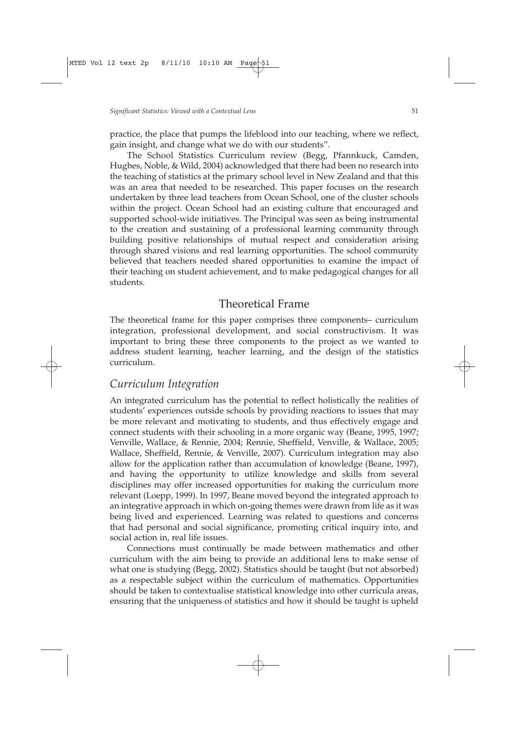practice, the place that pumps the lifeblood into our teaching, where we reflect, gain insight, and change what we do with our students".

The School Statistics Curriculum review (Begg, Pfannkuck, Camden, Hughes, Noble, & Wild, 2004) acknowledged that there had been no research into the teaching of statistics at the primary school level in New Zealand and that this was an area that needed to be researched. This paper focuses on the research undertaken by three lead teachers from Ocean School, one of the cluster schools within the project. Ocean School had an existing culture that encouraged and supported school-wide initiatives. The Principal was seen as being instrumental to the creation and sustaining of a professional learning community through building positive relationships of mutual respect and consideration arising through shared visions and real learning opportunities. The school community believed that teachers needed shared opportunities to examine the impact of their teaching on student achievement, and to make pedagogical changes for all students.

### Theoretical Frame

The theoretical frame for this paper comprises three components– curriculum integration, professional development, and social constructivism. It was important to bring these three components to the project as we wanted to address student learning, teacher learning, and the design of the statistics curriculum.

### *Curriculum Integration*

An integrated curriculum has the potential to reflect holistically the realities of students' experiences outside schools by providing reactions to issues that may be more relevant and motivating to students, and thus effectively engage and connect students with their schooling in a more organic way (Beane, 1995, 1997; Venville, Wallace, & Rennie, 2004; Rennie, Sheffield, Venville, & Wallace, 2005; Wallace, Sheffield, Rennie, & Venville, 2007). Curriculum integration may also allow for the application rather than accumulation of knowledge (Beane, 1997), and having the opportunity to utilize knowledge and skills from several disciplines may offer increased opportunities for making the curriculum more relevant (Loepp, 1999). In 1997, Beane moved beyond the integrated approach to an integrative approach in which on-going themes were drawn from life as it was being lived and experienced. Learning was related to questions and concerns that had personal and social significance, promoting critical inquiry into, and social action in, real life issues.

Connections must continually be made between mathematics and other curriculum with the aim being to provide an additional lens to make sense of what one is studying (Begg, 2002). Statistics should be taught (but not absorbed) as a respectable subject within the curriculum of mathematics. Opportunities should be taken to contextualise statistical knowledge into other curricula areas, ensuring that the uniqueness of statistics and how it should be taught is upheld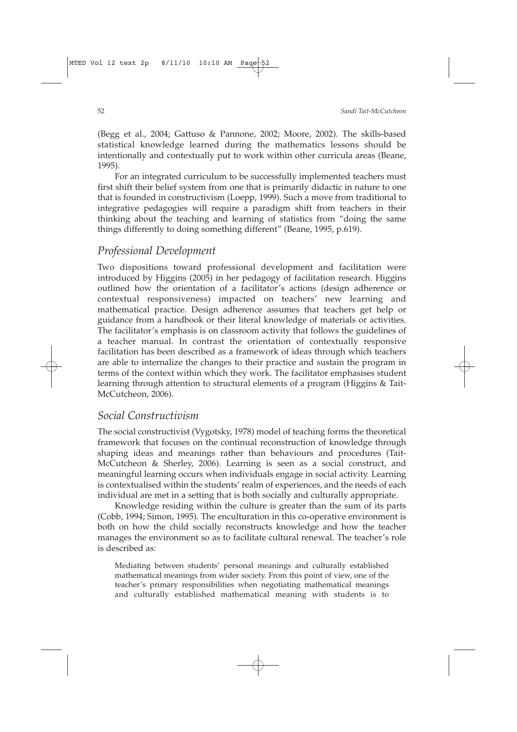(Begg et al., 2004; Gattuso & Pannone, 2002; Moore, 2002). The skills-based statistical knowledge learned during the mathematics lessons should be intentionally and contextually put to work within other curricula areas (Beane, 1995).

For an integrated curriculum to be successfully implemented teachers must first shift their belief system from one that is primarily didactic in nature to one that is founded in constructivism (Loepp, 1999). Such a move from traditional to integrative pedagogies will require a paradigm shift from teachers in their thinking about the teaching and learning of statistics from "doing the same things differently to doing something different" (Beane, 1995, p.619).

### *Professional Development*

Two dispositions toward professional development and facilitation were introduced by Higgins (2005) in her pedagogy of facilitation research. Higgins outlined how the orientation of a facilitator's actions (design adherence or contextual responsiveness) impacted on teachers' new learning and mathematical practice. Design adherence assumes that teachers get help or guidance from a handbook or their literal knowledge of materials or activities. The facilitator's emphasis is on classroom activity that follows the guidelines of a teacher manual. In contrast the orientation of contextually responsive facilitation has been described as a framework of ideas through which teachers are able to internalize the changes to their practice and sustain the program in terms of the context within which they work. The facilitator emphasises student learning through attention to structural elements of a program (Higgins & Tait-McCutcheon, 2006).

## *Social Constructivism*

The social constructivist (Vygotsky, 1978) model of teaching forms the theoretical framework that focuses on the continual reconstruction of knowledge through shaping ideas and meanings rather than behaviours and procedures (Tait-McCutcheon & Sherley, 2006). Learning is seen as a social construct, and meaningful learning occurs when individuals engage in social activity. Learning is contextualised within the students' realm of experiences, and the needs of each individual are met in a setting that is both socially and culturally appropriate.

Knowledge residing within the culture is greater than the sum of its parts (Cobb, 1994; Simon, 1995). The enculturation in this co-operative environment is both on how the child socially reconstructs knowledge and how the teacher manages the environment so as to facilitate cultural renewal. The teacher's role is described as:

Mediating between students' personal meanings and culturally established mathematical meanings from wider society. From this point of view, one of the teacher's primary responsibilities when negotiating mathematical meanings and culturally established mathematical meaning with students is to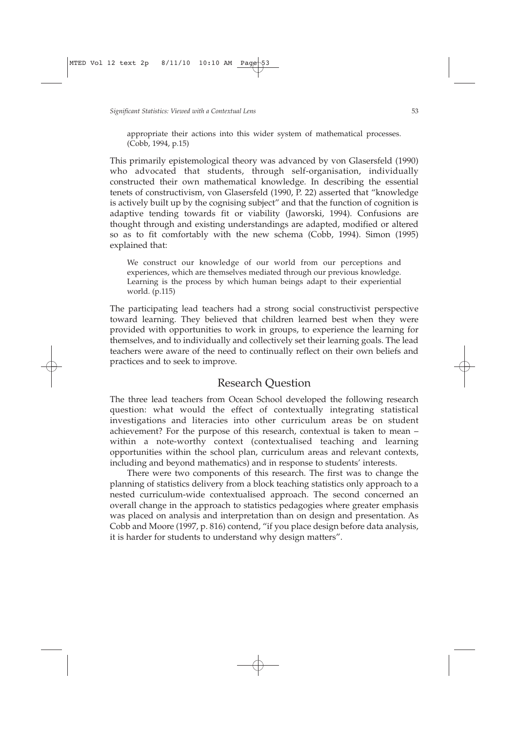appropriate their actions into this wider system of mathematical processes. (Cobb, 1994, p.15)

This primarily epistemological theory was advanced by von Glasersfeld (1990) who advocated that students, through self-organisation, individually constructed their own mathematical knowledge. In describing the essential tenets of constructivism, von Glasersfeld (1990, P. 22) asserted that "knowledge is actively built up by the cognising subject" and that the function of cognition is adaptive tending towards fit or viability (Jaworski, 1994). Confusions are thought through and existing understandings are adapted, modified or altered so as to fit comfortably with the new schema (Cobb, 1994). Simon (1995) explained that:

We construct our knowledge of our world from our perceptions and experiences, which are themselves mediated through our previous knowledge. Learning is the process by which human beings adapt to their experiential world. (p.115)

The participating lead teachers had a strong social constructivist perspective toward learning. They believed that children learned best when they were provided with opportunities to work in groups, to experience the learning for themselves, and to individually and collectively set their learning goals. The lead teachers were aware of the need to continually reflect on their own beliefs and practices and to seek to improve.

### Research Question

The three lead teachers from Ocean School developed the following research question: what would the effect of contextually integrating statistical investigations and literacies into other curriculum areas be on student achievement? For the purpose of this research, contextual is taken to mean – within a note-worthy context (contextualised teaching and learning opportunities within the school plan, curriculum areas and relevant contexts, including and beyond mathematics) and in response to students' interests.

There were two components of this research. The first was to change the planning of statistics delivery from a block teaching statistics only approach to a nested curriculum-wide contextualised approach. The second concerned an overall change in the approach to statistics pedagogies where greater emphasis was placed on analysis and interpretation than on design and presentation. As Cobb and Moore (1997, p. 816) contend, "if you place design before data analysis, it is harder for students to understand why design matters".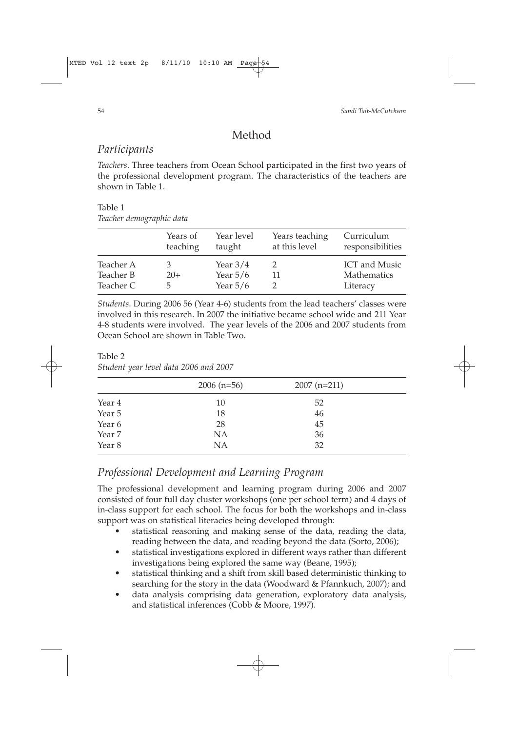# Method

### *Participants*

*Teachers*. Three teachers from Ocean School participated in the first two years of the professional development program. The characteristics of the teachers are shown in Table 1.

# Table 1

*Teacher demographic data*

|           | Years of<br>teaching | Year level<br>taught | Years teaching<br>at this level | Curriculum<br>responsibilities |  |
|-----------|----------------------|----------------------|---------------------------------|--------------------------------|--|
| Teacher A |                      | Year $3/4$           |                                 | <b>ICT</b> and Music           |  |
| Teacher B | $20+$                | Year $5/6$           |                                 | <b>Mathematics</b>             |  |
| Teacher C | b.                   | Year $5/6$           |                                 | Literacy                       |  |
|           |                      |                      |                                 |                                |  |

*Students*. During 2006 56 (Year 4-6) students from the lead teachers' classes were involved in this research. In 2007 the initiative became school wide and 211 Year 4-8 students were involved. The year levels of the 2006 and 2007 students from Ocean School are shown in Table Two.

# Table 2

*Student year level data 2006 and 2007*

|        | $2006$ (n=56) | $2007$ (n=211) |  |
|--------|---------------|----------------|--|
| Year 4 | 10            | 52             |  |
| Year 5 | 18            | 46             |  |
| Year 6 | 28            | 45             |  |
| Year 7 | NA            | 36             |  |
| Year 8 | NA            | 32             |  |

## *Professional Development and Learning Program*

The professional development and learning program during 2006 and 2007 consisted of four full day cluster workshops (one per school term) and 4 days of in-class support for each school. The focus for both the workshops and in-class support was on statistical literacies being developed through:

- statistical reasoning and making sense of the data, reading the data, reading between the data, and reading beyond the data (Sorto, 2006);
- statistical investigations explored in different ways rather than different investigations being explored the same way (Beane, 1995);
- statistical thinking and a shift from skill based deterministic thinking to searching for the story in the data (Woodward & Pfannkuch, 2007); and
- data analysis comprising data generation, exploratory data analysis, and statistical inferences (Cobb & Moore, 1997).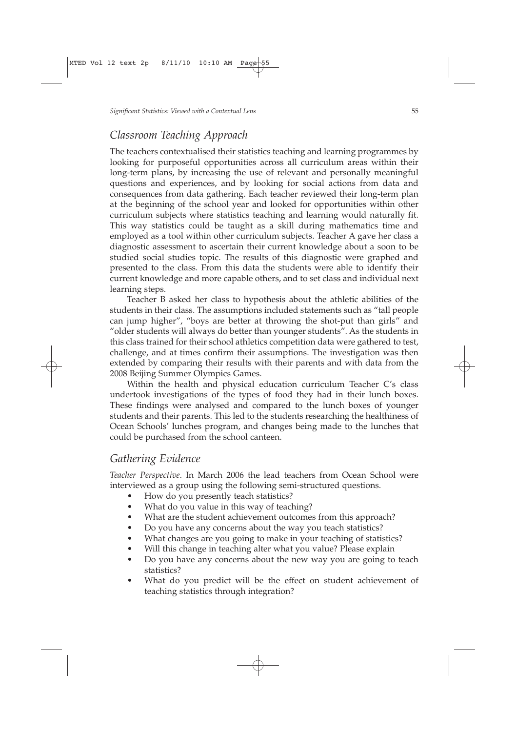### *Classroom Teaching Approach*

The teachers contextualised their statistics teaching and learning programmes by looking for purposeful opportunities across all curriculum areas within their long-term plans, by increasing the use of relevant and personally meaningful questions and experiences, and by looking for social actions from data and consequences from data gathering. Each teacher reviewed their long-term plan at the beginning of the school year and looked for opportunities within other curriculum subjects where statistics teaching and learning would naturally fit. This way statistics could be taught as a skill during mathematics time and employed as a tool within other curriculum subjects. Teacher A gave her class a diagnostic assessment to ascertain their current knowledge about a soon to be studied social studies topic. The results of this diagnostic were graphed and presented to the class. From this data the students were able to identify their current knowledge and more capable others, and to set class and individual next learning steps.

Teacher B asked her class to hypothesis about the athletic abilities of the students in their class. The assumptions included statements such as "tall people can jump higher", "boys are better at throwing the shot-put than girls" and "older students will always do better than younger students". As the students in this class trained for their school athletics competition data were gathered to test, challenge, and at times confirm their assumptions. The investigation was then extended by comparing their results with their parents and with data from the 2008 Beijing Summer Olympics Games.

Within the health and physical education curriculum Teacher C's class undertook investigations of the types of food they had in their lunch boxes. These findings were analysed and compared to the lunch boxes of younger students and their parents. This led to the students researching the healthiness of Ocean Schools' lunches program, and changes being made to the lunches that could be purchased from the school canteen.

### *Gathering Evidence*

*Teacher Perspective*. In March 2006 the lead teachers from Ocean School were interviewed as a group using the following semi-structured questions.

- How do you presently teach statistics?
- What do you value in this way of teaching?
- What are the student achievement outcomes from this approach?
- Do you have any concerns about the way you teach statistics?
- What changes are you going to make in your teaching of statistics?
- Will this change in teaching alter what you value? Please explain
- Do you have any concerns about the new way you are going to teach statistics?
- What do you predict will be the effect on student achievement of teaching statistics through integration?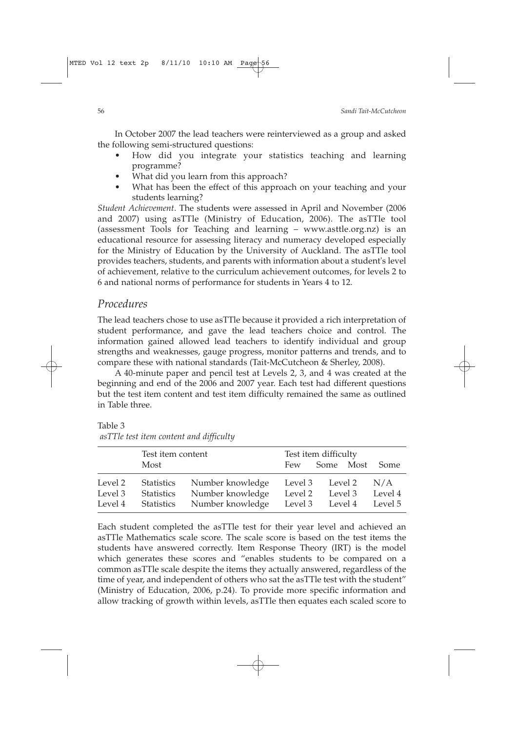In October 2007 the lead teachers were reinterviewed as a group and asked the following semi-structured questions:

- How did you integrate your statistics teaching and learning programme?
- What did you learn from this approach?
- What has been the effect of this approach on your teaching and your students learning?

*Student Achievement*. The students were assessed in April and November (2006 and 2007) using asTTle (Ministry of Education, 2006). The asTTle tool (assessment Tools for Teaching and learning – www.asttle.org.nz) is an educational resource for assessing literacy and numeracy developed especially for the Ministry of Education by the University of Auckland. The asTTle tool provides teachers, students, and parents with information about a student's level of achievement, relative to the curriculum achievement outcomes, for levels 2 to 6 and national norms of performance for students in Years 4 to 12.

### *Procedures*

The lead teachers chose to use asTTle because it provided a rich interpretation of student performance, and gave the lead teachers choice and control. The information gained allowed lead teachers to identify individual and group strengths and weaknesses, gauge progress, monitor patterns and trends, and to compare these with national standards (Tait-McCutcheon & Sherley, 2008).

A 40-minute paper and pencil test at Levels 2, 3, and 4 was created at the beginning and end of the 2006 and 2007 year. Each test had different questions but the test item content and test item difficulty remained the same as outlined in Table three.

Table 3 *asTTle test item content and difficulty*

|                               | Test item content<br>Most                            |                                                          | Test item difficulty<br>Some Most<br>Some<br>Few |                            |  |                           |  |
|-------------------------------|------------------------------------------------------|----------------------------------------------------------|--------------------------------------------------|----------------------------|--|---------------------------|--|
| Level 2<br>Level 3<br>Level 4 | <b>Statistics</b><br><b>Statistics</b><br>Statistics | Number knowledge<br>Number knowledge<br>Number knowledge | Level 2<br>Level 3 Level 4                       | Level 3 Level 2<br>Level 3 |  | N/A<br>Level 4<br>Level 5 |  |

Each student completed the asTTle test for their year level and achieved an asTTle Mathematics scale score. The scale score is based on the test items the students have answered correctly. Item Response Theory (IRT) is the model which generates these scores and "enables students to be compared on a common asTTle scale despite the items they actually answered, regardless of the time of year, and independent of others who sat the asTTle test with the student" (Ministry of Education, 2006, p.24). To provide more specific information and allow tracking of growth within levels, asTTle then equates each scaled score to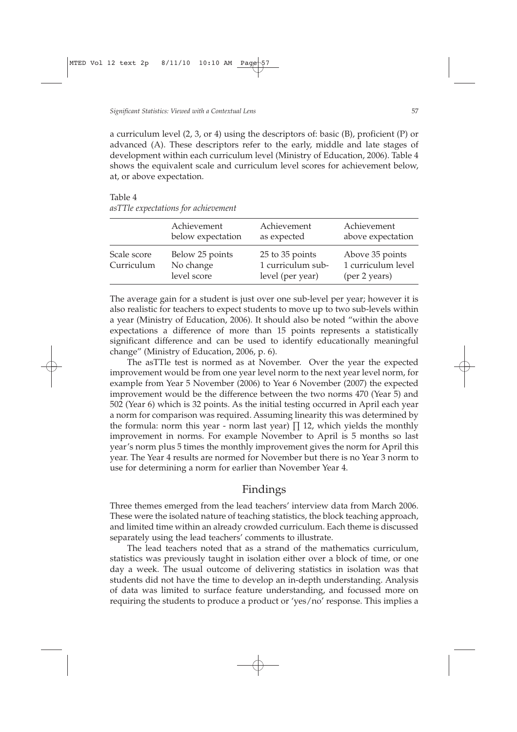a curriculum level  $(2, 3, \text{ or } 4)$  using the descriptors of: basic  $(B)$ , proficient  $(P)$  or advanced (A). These descriptors refer to the early, middle and late stages of development within each curriculum level (Ministry of Education, 2006). Table 4 shows the equivalent scale and curriculum level scores for achievement below, at, or above expectation.

Table 4 *asTTle expectations for achievement*

|                           | Achievement                                 | Achievement                                              | Achievement                                            |
|---------------------------|---------------------------------------------|----------------------------------------------------------|--------------------------------------------------------|
|                           | below expectation                           | as expected                                              | above expectation                                      |
| Scale score<br>Curriculum | Below 25 points<br>No change<br>level score | 25 to 35 points<br>1 curriculum sub-<br>level (per year) | Above 35 points<br>1 curriculum level<br>(per 2 years) |

The average gain for a student is just over one sub-level per year; however it is also realistic for teachers to expect students to move up to two sub-levels within a year (Ministry of Education, 2006). It should also be noted "within the above expectations a difference of more than 15 points represents a statistically significant difference and can be used to identify educationally meaningful change" (Ministry of Education, 2006, p. 6).

The asTTle test is normed as at November. Over the year the expected improvement would be from one year level norm to the next year level norm, for example from Year 5 November (2006) to Year 6 November (2007) the expected improvement would be the difference between the two norms 470 (Year 5) and 502 (Year 6) which is 32 points. As the initial testing occurred in April each year a norm for comparison was required. Assuming linearity this was determined by the formula: norm this year - norm last year)  $\prod 12$ , which yields the monthly improvement in norms. For example November to April is 5 months so last year's norm plus 5 times the monthly improvement gives the norm for April this year. The Year 4 results are normed for November but there is no Year 3 norm to use for determining a norm for earlier than November Year 4.

### Findings

Three themes emerged from the lead teachers' interview data from March 2006. These were the isolated nature of teaching statistics, the block teaching approach, and limited time within an already crowded curriculum. Each theme is discussed separately using the lead teachers' comments to illustrate.

The lead teachers noted that as a strand of the mathematics curriculum, statistics was previously taught in isolation either over a block of time, or one day a week. The usual outcome of delivering statistics in isolation was that students did not have the time to develop an in-depth understanding. Analysis of data was limited to surface feature understanding, and focussed more on requiring the students to produce a product or 'yes/no' response. This implies a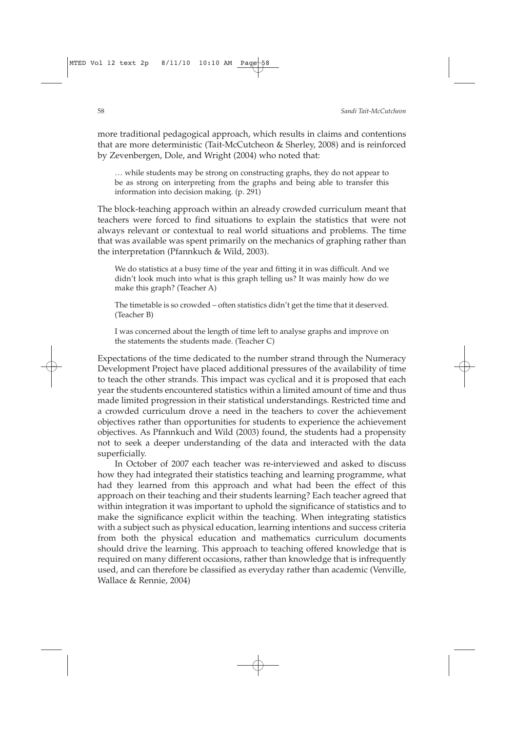more traditional pedagogical approach, which results in claims and contentions that are more deterministic (Tait-McCutcheon & Sherley, 2008) and is reinforced by Zevenbergen, Dole, and Wright (2004) who noted that:

… while students may be strong on constructing graphs, they do not appear to be as strong on interpreting from the graphs and being able to transfer this information into decision making. (p. 291)

The block-teaching approach within an already crowded curriculum meant that teachers were forced to find situations to explain the statistics that were not always relevant or contextual to real world situations and problems. The time that was available was spent primarily on the mechanics of graphing rather than the interpretation (Pfannkuch & Wild, 2003).

We do statistics at a busy time of the year and fitting it in was difficult. And we didn't look much into what is this graph telling us? It was mainly how do we make this graph? (Teacher A)

The timetable is so crowded – often statistics didn't get the time that it deserved. (Teacher B)

I was concerned about the length of time left to analyse graphs and improve on the statements the students made. (Teacher C)

Expectations of the time dedicated to the number strand through the Numeracy Development Project have placed additional pressures of the availability of time to teach the other strands. This impact was cyclical and it is proposed that each year the students encountered statistics within a limited amount of time and thus made limited progression in their statistical understandings. Restricted time and a crowded curriculum drove a need in the teachers to cover the achievement objectives rather than opportunities for students to experience the achievement objectives. As Pfannkuch and Wild (2003) found, the students had a propensity not to seek a deeper understanding of the data and interacted with the data superficially.

In October of 2007 each teacher was re-interviewed and asked to discuss how they had integrated their statistics teaching and learning programme, what had they learned from this approach and what had been the effect of this approach on their teaching and their students learning? Each teacher agreed that within integration it was important to uphold the significance of statistics and to make the significance explicit within the teaching. When integrating statistics with a subject such as physical education, learning intentions and success criteria from both the physical education and mathematics curriculum documents should drive the learning. This approach to teaching offered knowledge that is required on many different occasions, rather than knowledge that is infrequently used, and can therefore be classified as everyday rather than academic (Venville, Wallace & Rennie, 2004)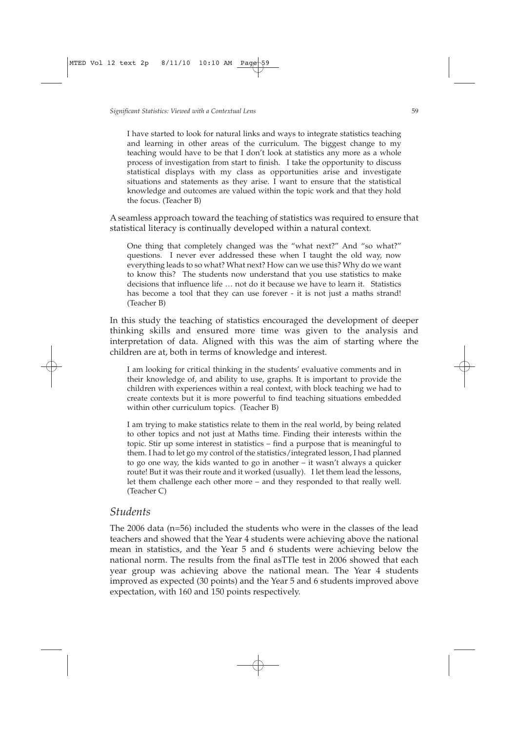I have started to look for natural links and ways to integrate statistics teaching and learning in other areas of the curriculum. The biggest change to my teaching would have to be that I don't look at statistics any more as a whole process of investigation from start to finish. I take the opportunity to discuss statistical displays with my class as opportunities arise and investigate situations and statements as they arise. I want to ensure that the statistical knowledge and outcomes are valued within the topic work and that they hold the focus. (Teacher B)

A seamless approach toward the teaching of statistics was required to ensure that statistical literacy is continually developed within a natural context.

One thing that completely changed was the "what next?" And "so what?" questions. I never ever addressed these when I taught the old way, now everything leads to so what? What next? How can we use this? Why do we want to know this? The students now understand that you use statistics to make decisions that influence life … not do it because we have to learn it. Statistics has become a tool that they can use forever - it is not just a maths strand! (Teacher B)

In this study the teaching of statistics encouraged the development of deeper thinking skills and ensured more time was given to the analysis and interpretation of data. Aligned with this was the aim of starting where the children are at, both in terms of knowledge and interest.

I am looking for critical thinking in the students' evaluative comments and in their knowledge of, and ability to use, graphs. It is important to provide the children with experiences within a real context, with block teaching we had to create contexts but it is more powerful to find teaching situations embedded within other curriculum topics. (Teacher B)

I am trying to make statistics relate to them in the real world, by being related to other topics and not just at Maths time. Finding their interests within the topic. Stir up some interest in statistics – find a purpose that is meaningful to them. I had to let go my control of the statistics/integrated lesson, I had planned to go one way, the kids wanted to go in another – it wasn't always a quicker route! But it was their route and it worked (usually). I let them lead the lessons, let them challenge each other more – and they responded to that really well. (Teacher C)

### *Students*

The 2006 data (n=56) included the students who were in the classes of the lead teachers and showed that the Year 4 students were achieving above the national mean in statistics, and the Year 5 and 6 students were achieving below the national norm. The results from the final asTTle test in 2006 showed that each year group was achieving above the national mean. The Year 4 students improved as expected (30 points) and the Year 5 and 6 students improved above expectation, with 160 and 150 points respectively.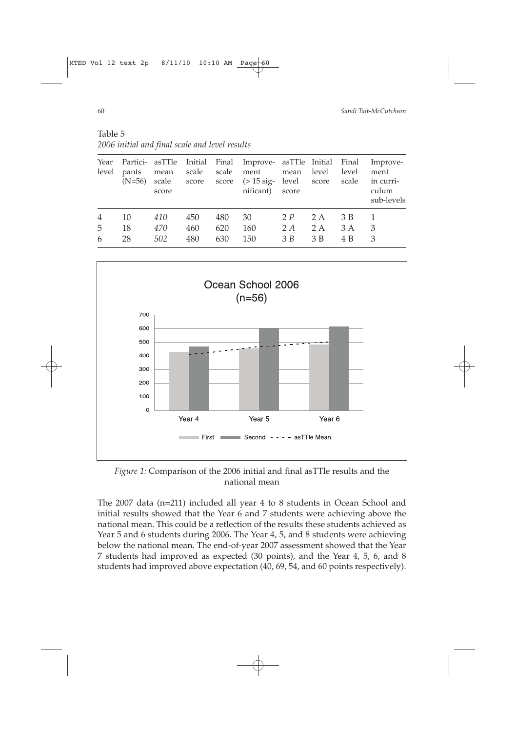Table 5 *2006 initial and final scale and level results*

| Year<br>level            | pants<br>$(N=56)$ | Partici- asTTle Initial<br>mean<br>scale<br>score | scale<br>score    | score             | Final Improve- asTTle Initial<br>scale ment<br>$(>15 \text{ sig} -$<br>nificant) | mean<br>level score<br>score | level             | Final<br>level<br>scale | Improve-<br>ment<br>in curri-<br>culum<br>sub-levels |
|--------------------------|-------------------|---------------------------------------------------|-------------------|-------------------|----------------------------------------------------------------------------------|------------------------------|-------------------|-------------------------|------------------------------------------------------|
| $\overline{4}$<br>5<br>6 | 10<br>18<br>28    | 410<br>470<br>502                                 | 450<br>460<br>480 | 480<br>620<br>630 | 30<br>160<br>150                                                                 | 2P<br>2 A<br>$\mathcal{B}$ B | 2 A<br>2 A<br>3 B | 3 B<br>3 A<br>4 B       | 3<br>3                                               |



*Figure 1:* Comparison of the 2006 initial and final asTTle results and the national mean

The 2007 data (n=211) included all year 4 to 8 students in Ocean School and initial results showed that the Year 6 and 7 students were achieving above the national mean. This could be a reflection of the results these students achieved as Year 5 and 6 students during 2006. The Year 4, 5, and 8 students were achieving below the national mean. The end-of-year 2007 assessment showed that the Year 7 students had improved as expected (30 points), and the Year 4, 5, 6, and 8 students had improved above expectation (40, 69, 54, and 60 points respectively).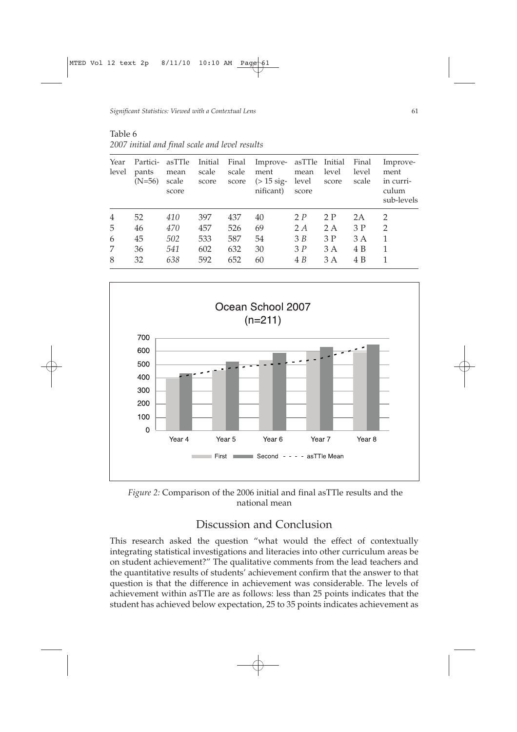Table 6 *2007 initial and final scale and level results*

| Year<br>level | Partici-<br>pants<br>$(N=56)$ | asTTle<br>mean<br>scale<br>score | Initial<br>scale<br>score | Final<br>scale<br>score | Improve- asTTle Initial<br>ment<br>$($ > 15 sig-<br>nificant) | mean<br>level<br>score      | level<br>score | Final<br>level<br>scale | Improve-<br>ment<br>in curri-<br>culum<br>sub-levels |
|---------------|-------------------------------|----------------------------------|---------------------------|-------------------------|---------------------------------------------------------------|-----------------------------|----------------|-------------------------|------------------------------------------------------|
| 4             | 52                            | 410                              | 397                       | 437                     | 40                                                            | 2P                          | 2P             | 2A                      | $\overline{2}$                                       |
| 5             | 46                            | 470                              | 457                       | 526                     | 69                                                            | 2 A                         | 2 A            | 3P                      | $\overline{2}$                                       |
| 6             | 45                            | 502                              | 533                       | 587                     | 54                                                            | $\mathcal{B}$ $\mathcal{B}$ | 3P             | 3 A                     |                                                      |
| 7             | 36                            | 541                              | 602                       | 632                     | 30                                                            | 3P                          | 3A             | 4 B                     |                                                      |
| 8             | 32                            | 638                              | 592                       | 652                     | 60                                                            | 4 B                         | 3 A            | 4 B                     |                                                      |



*Figure 2:* Comparison of the 2006 initial and final asTTle results and the national mean

### Discussion and Conclusion

This research asked the question "what would the effect of contextually integrating statistical investigations and literacies into other curriculum areas be on student achievement?" The qualitative comments from the lead teachers and the quantitative results of students' achievement confirm that the answer to that question is that the difference in achievement was considerable. The levels of achievement within asTTle are as follows: less than 25 points indicates that the student has achieved below expectation, 25 to 35 points indicates achievement as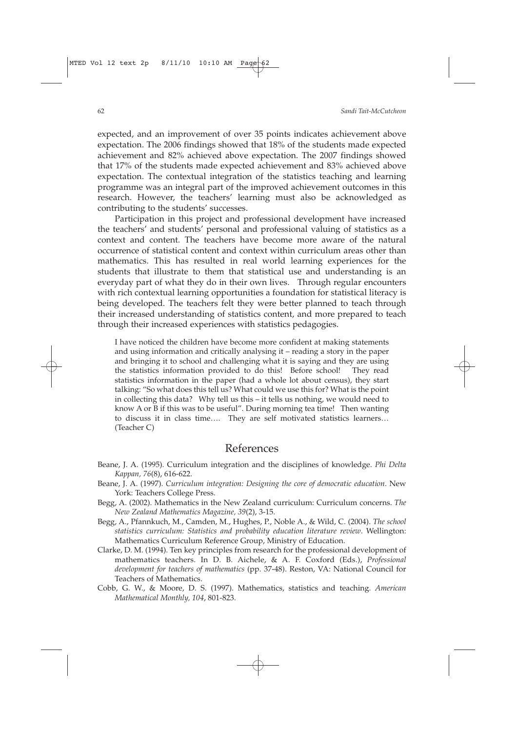expected, and an improvement of over 35 points indicates achievement above expectation. The 2006 findings showed that 18% of the students made expected achievement and 82% achieved above expectation. The 2007 findings showed that 17% of the students made expected achievement and 83% achieved above expectation. The contextual integration of the statistics teaching and learning programme was an integral part of the improved achievement outcomes in this research. However, the teachers' learning must also be acknowledged as contributing to the students' successes.

Participation in this project and professional development have increased the teachers' and students' personal and professional valuing of statistics as a context and content. The teachers have become more aware of the natural occurrence of statistical content and context within curriculum areas other than mathematics. This has resulted in real world learning experiences for the students that illustrate to them that statistical use and understanding is an everyday part of what they do in their own lives. Through regular encounters with rich contextual learning opportunities a foundation for statistical literacy is being developed. The teachers felt they were better planned to teach through their increased understanding of statistics content, and more prepared to teach through their increased experiences with statistics pedagogies.

I have noticed the children have become more confident at making statements and using information and critically analysing it – reading a story in the paper and bringing it to school and challenging what it is saying and they are using the statistics information provided to do this! Before school! They read statistics information in the paper (had a whole lot about census), they start talking: "So what does this tell us? What could we use this for? What is the point in collecting this data? Why tell us this – it tells us nothing, we would need to know A or B if this was to be useful". During morning tea time! Then wanting to discuss it in class time…. They are self motivated statistics learners… (Teacher C)

### References

- Beane, J. A. (1995). Curriculum integration and the disciplines of knowledge. *Phi Delta Kappan, 76*(8), 616-622.
- Beane, J. A. (1997). *Curriculum integration: Designing the core of democratic education*. New York: Teachers College Press.
- Begg, A. (2002). Mathematics in the New Zealand curriculum: Curriculum concerns. *The New Zealand Mathematics Magazine, 39*(2), 3-15.
- Begg, A., Pfannkuch, M., Camden, M., Hughes, P., Noble A., & Wild, C. (2004). *The school statistics curriculum: Statistics and probability education literature review*. Wellington: Mathematics Curriculum Reference Group, Ministry of Education.
- Clarke, D. M. (1994). Ten key principles from research for the professional development of mathematics teachers. In D. B. Aichele, & A. F. Coxford (Eds.), *Professional development for teachers of mathematics* (pp. 37-48). Reston, VA: National Council for Teachers of Mathematics.
- Cobb, G. W., & Moore, D. S. (1997). Mathematics, statistics and teaching. *American Mathematical Monthly, 104*, 801-823.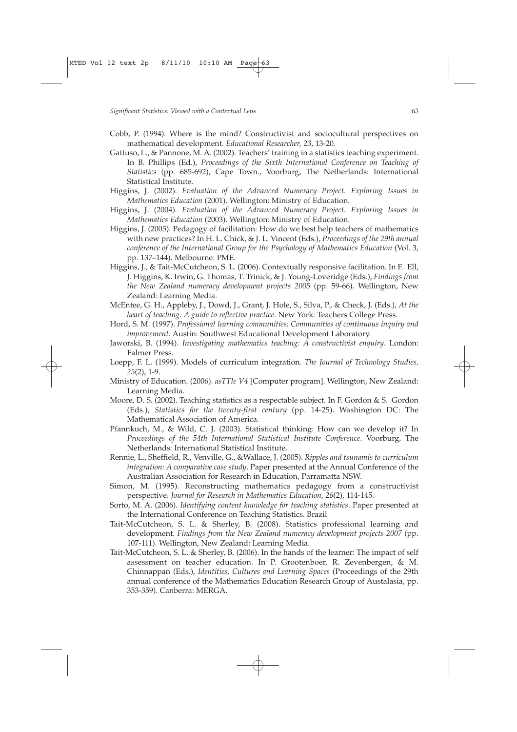- Cobb, P. (1994). Where is the mind? Constructivist and sociocultural perspectives on mathematical development. *Educational Researcher, 23*, 13-20.
- Gattuso, L., & Pannone, M. A. (2002). Teachers' training in a statistics teaching experiment. In B. Phillips (Ed.), *Proceedings of the Sixth International Conference on Teaching of Statistics* (pp. 685-692), Cape Town., Voorburg, The Netherlands: International Statistical Institute.
- Higgins, J. (2002). *Evaluation of the Advanced Numeracy Project. Exploring Issues in Mathematics Education* (2001). Wellington: Ministry of Education.
- Higgins, J. (2004). *Evaluation of the Advanced Numeracy Project. Exploring Issues in Mathematics Education* (2003). Wellington: Ministry of Education.
- Higgins, J. (2005). Pedagogy of facilitation: How do we best help teachers of mathematics with new practices? In H. L. Chick, & J. L. Vincent (Eds.), *Proceedings of the 29th annual conference of the International Group for the Psychology of Mathematics Education* (Vol. 3, pp. 137–144). Melbourne: PME.
- Higgins, J., & Tait-McCutcheon, S. L. (2006). Contextually responsive facilitation. In F. Ell, J. Higgins, K. Irwin, G. Thomas, T. Trinick, & J. Young-Loveridge (Eds.), *Findings from the New Zealand numeracy development projects 2005* (pp. 59-66). Wellington, New Zealand: Learning Media.
- McEntee, G. H., Appleby, J., Dowd, J., Grant, J. Hole, S., Silva, P., & Check, J. (Eds.), *At the heart of teaching: A guide to reflective practice*. New York: Teachers College Press.
- Hord, S. M. (1997). *Professional learning communities: Communities of continuous inquiry and improvement*. Austin: Southwest Educational Development Laboratory.
- Jaworski, B. (1994). *Investigating mathematics teaching: A constructivist enquiry*. London: Falmer Press.
- Loepp, F. L. (1999). Models of curriculum integration. *The Journal of Technology Studies, 25*(2), 1-9.
- Ministry of Education. (2006). *asTTle V4* [Computer program]. Wellington, New Zealand: Learning Media.
- Moore, D. S. (2002). Teaching statistics as a respectable subject. In F. Gordon & S. Gordon (Eds.), *Statistics for the twenty-first century* (pp. 14-25). Washington DC: The Mathematical Association of America.
- Pfannkuch, M., & Wild, C. J. (2003). Statistical thinking: How can we develop it? In *Proceedings of the 54th International Statistical Institute Conference*. Voorburg, The Netherlands: International Statistical Institute.
- Rennie, L., Sheffield, R., Venville, G., &Wallace, J. (2005). *Ripples and tsunamis to curriculum integration: A comparative case study*. Paper presented at the Annual Conference of the Australian Association for Research in Education, Parramatta NSW.
- Simon, M. (1995). Reconstructing mathematics pedagogy from a constructivist perspective. *Journal for Research in Mathematics Education, 26*(2), 114-145.
- Sorto, M. A. (2006). *Identifying content knowledge for teaching statistics*. Paper presented at the International Conference on Teaching Statistics. Brazil
- Tait-McCutcheon, S. L. & Sherley, B. (2008). Statistics professional learning and development. *Findings from the New Zealand numeracy development projects 2007* (pp. 107-111). Wellington, New Zealand: Learning Media.
- Tait-McCutcheon, S. L. & Sherley, B. (2006). In the hands of the learner: The impact of self assessment on teacher education. In P. Grootenboer, R. Zevenbergen, & M. Chinnappan (Eds.), *Identities, Cultures and Learning Spaces* (Proceedings of the 29th annual conference of the Mathematics Education Research Group of Austalasia, pp. 353-359). Canberra: MERGA.